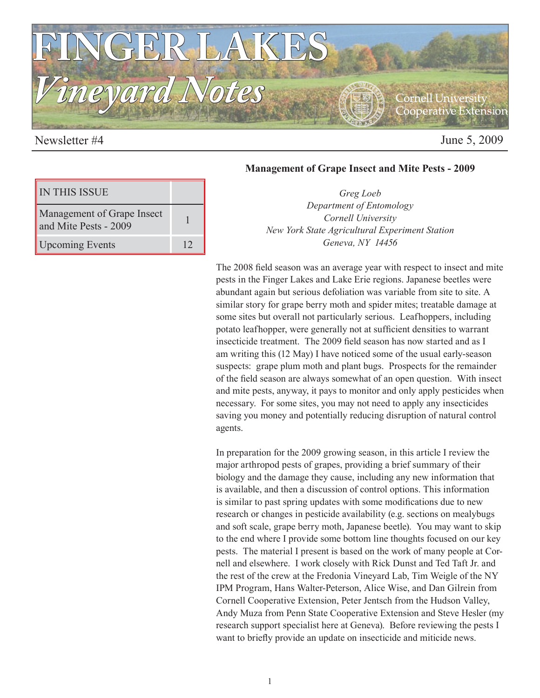

Newsletter #4 June 5, 2009

| <b>IN THIS ISSUE</b>                                |  |
|-----------------------------------------------------|--|
| Management of Grape Insect<br>and Mite Pests - 2009 |  |
| <b>Upcoming Events</b>                              |  |

## **Management of Grape Insect and Mite Pests - 2009**

*Greg Loeb Department of Entomology Cornell University New York State Agricultural Experiment Station Geneva, NY 14456*

The 2008 field season was an average year with respect to insect and mite pests in the Finger Lakes and Lake Erie regions. Japanese beetles were abundant again but serious defoliation was variable from site to site. A similar story for grape berry moth and spider mites; treatable damage at some sites but overall not particularly serious. Leafhoppers, including potato leafhopper, were generally not at sufficient densities to warrant insecticide treatment. The 2009 field season has now started and as I am writing this (12 May) I have noticed some of the usual early-season suspects: grape plum moth and plant bugs. Prospects for the remainder of the field season are always somewhat of an open question. With insect and mite pests, anyway, it pays to monitor and only apply pesticides when necessary. For some sites, you may not need to apply any insecticides saving you money and potentially reducing disruption of natural control agents.

In preparation for the 2009 growing season, in this article I review the major arthropod pests of grapes, providing a brief summary of their biology and the damage they cause, including any new information that is available, and then a discussion of control options. This information is similar to past spring updates with some modifications due to new research or changes in pesticide availability (e.g. sections on mealybugs and soft scale, grape berry moth, Japanese beetle). You may want to skip to the end where I provide some bottom line thoughts focused on our key pests. The material I present is based on the work of many people at Cornell and elsewhere. I work closely with Rick Dunst and Ted Taft Jr. and the rest of the crew at the Fredonia Vineyard Lab, Tim Weigle of the NY IPM Program, Hans Walter-Peterson, Alice Wise, and Dan Gilrein from Cornell Cooperative Extension, Peter Jentsch from the Hudson Valley, Andy Muza from Penn State Cooperative Extension and Steve Hesler (my research support specialist here at Geneva). Before reviewing the pests I want to briefly provide an update on insecticide and miticide news.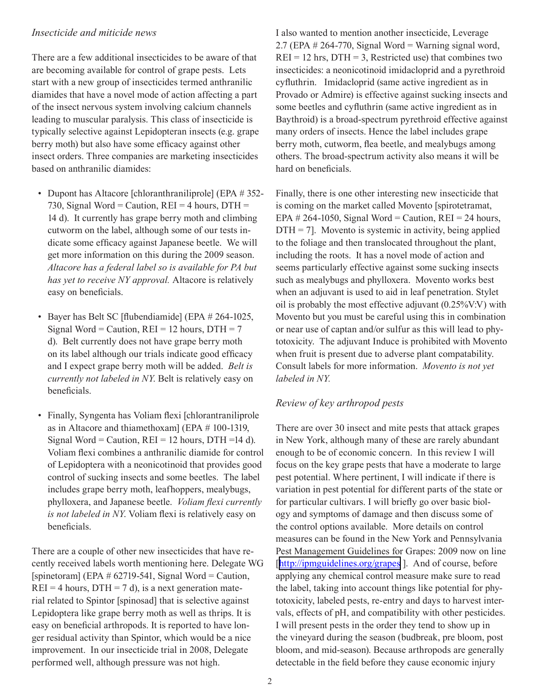## *Insecticide and miticide news*

There are a few additional insecticides to be aware of that are becoming available for control of grape pests. Lets start with a new group of insecticides termed anthranilic diamides that have a novel mode of action affecting a part of the insect nervous system involving calcium channels leading to muscular paralysis. This class of insecticide is typically selective against Lepidopteran insects (e.g. grape berry moth) but also have some efficacy against other insect orders. Three companies are marketing insecticides based on anthranilic diamides:

- Dupont has Altacore [chloranthraniliprole] (EPA # 352-730, Signal Word = Caution,  $REI = 4$  hours,  $DTH =$ 14 d). It currently has grape berry moth and climbing cutworm on the label, although some of our tests indicate some efficacy against Japanese beetle. We will get more information on this during the 2009 season. *Altacore has a federal label so is available for PA but has yet to receive NY approval.* Altacore is relatively easy on beneficials.
- Bayer has Belt SC [flubendiamide] (EPA # 264-1025, Signal Word = Caution,  $REI = 12$  hours,  $DTH = 7$ d). Belt currently does not have grape berry moth on its label although our trials indicate good efficacy and I expect grape berry moth will be added. *Belt is currently not labeled in NY*. Belt is relatively easy on beneficials.
- Finally, Syngenta has Voliam flexi [chlorantraniliprole as in Altacore and thiamethoxam] (EPA # 100-1319, Signal Word = Caution,  $REI = 12$  hours, DTH =14 d). Voliam flexi combines a anthranilic diamide for control of Lepidoptera with a neonicotinoid that provides good control of sucking insects and some beetles. The label includes grape berry moth, leafhoppers, mealybugs, phylloxera, and Japanese beetle. *Voliam flexi currently is not labeled in NY*. Voliam flexi is relatively easy on beneficials.

There are a couple of other new insecticides that have recently received labels worth mentioning here. Delegate WG [spinetoram] (EPA  $# 62719-541$ , Signal Word = Caution,  $REI = 4$  hours,  $DTH = 7$  d), is a next generation material related to Spintor [spinosad] that is selective against Lepidoptera like grape berry moth as well as thrips. It is easy on beneficial arthropods. It is reported to have longer residual activity than Spintor, which would be a nice improvement. In our insecticide trial in 2008, Delegate performed well, although pressure was not high.

I also wanted to mention another insecticide, Leverage 2.7 (EPA  $# 264-770$ , Signal Word = Warning signal word,  $REI = 12$  hrs,  $DTH = 3$ , Restricted use) that combines two insecticides: a neonicotinoid imidacloprid and a pyrethroid cyfluthrin. Imidacloprid (same active ingredient as in Provado or Admire) is effective against sucking insects and some beetles and cyfluthrin (same active ingredient as in Baythroid) is a broad-spectrum pyrethroid effective against many orders of insects. Hence the label includes grape berry moth, cutworm, flea beetle, and mealybugs among others. The broad-spectrum activity also means it will be hard on beneficials.

Finally, there is one other interesting new insecticide that is coming on the market called Movento [spirotetramat, EPA  $\# 264$ -1050, Signal Word = Caution, REI = 24 hours,  $DTH = 7$ . Movento is systemic in activity, being applied to the foliage and then translocated throughout the plant, including the roots. It has a novel mode of action and seems particularly effective against some sucking insects such as mealybugs and phylloxera. Movento works best when an adjuvant is used to aid in leaf penetration. Stylet oil is probably the most effective adjuvant (0.25%V:V) with Movento but you must be careful using this in combination or near use of captan and/or sulfur as this will lead to phytotoxicity. The adjuvant Induce is prohibited with Movento when fruit is present due to adverse plant compatability. Consult labels for more information. *Movento is not yet labeled in NY.*

## *Review of key arthropod pests*

There are over 30 insect and mite pests that attack grapes in New York, although many of these are rarely abundant enough to be of economic concern. In this review I will focus on the key grape pests that have a moderate to large pest potential. Where pertinent, I will indicate if there is variation in pest potential for different parts of the state or for particular cultivars. I will briefly go over basic biology and symptoms of damage and then discuss some of the control options available. More details on control measures can be found in the New York and Pennsylvania Pest Management Guidelines for Grapes: 2009 now on line [[http://ipmguidelines.org/grape](http://www.nysaes.cornell.edu/fst/asev/index.php)s]. And of course, before applying any chemical control measure make sure to read the label, taking into account things like potential for phytotoxicity, labeled pests, re-entry and days to harvest intervals, effects of pH, and compatibility with other pesticides. I will present pests in the order they tend to show up in the vineyard during the season (budbreak, pre bloom, post bloom, and mid-season). Because arthropods are generally detectable in the field before they cause economic injury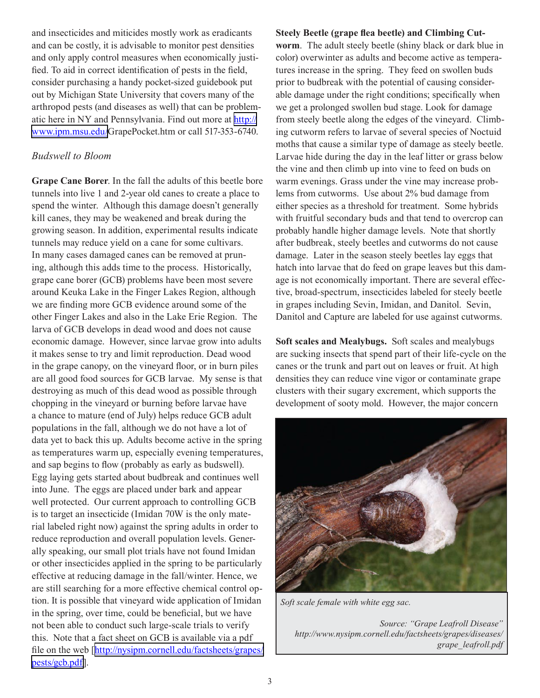and insecticides and miticides mostly work as eradicants and can be costly, it is advisable to monitor pest densities and only apply control measures when economically justified. To aid in correct identification of pests in the field, consider purchasing a handy pocket-sized guidebook put out by Michigan State University that covers many of the arthropod pests (and diseases as well) that can be problematic here in NY and Pennsylvania. Find out more at [http://](http://www.ipm.msu.edu/) [www.ipm.msu.edu/](http://www.ipm.msu.edu/)GrapePocket.htm or call 517-353-6740.

### *Budswell to Bloom*

**Grape Cane Borer**. In the fall the adults of this beetle bore tunnels into live 1 and 2-year old canes to create a place to spend the winter. Although this damage doesn't generally kill canes, they may be weakened and break during the growing season. In addition, experimental results indicate tunnels may reduce yield on a cane for some cultivars. In many cases damaged canes can be removed at pruning, although this adds time to the process. Historically, grape cane borer (GCB) problems have been most severe around Keuka Lake in the Finger Lakes Region, although we are finding more GCB evidence around some of the other Finger Lakes and also in the Lake Erie Region. The larva of GCB develops in dead wood and does not cause economic damage. However, since larvae grow into adults it makes sense to try and limit reproduction. Dead wood in the grape canopy, on the vineyard floor, or in burn piles are all good food sources for GCB larvae. My sense is that destroying as much of this dead wood as possible through chopping in the vineyard or burning before larvae have a chance to mature (end of July) helps reduce GCB adult populations in the fall, although we do not have a lot of data yet to back this up. Adults become active in the spring as temperatures warm up, especially evening temperatures, and sap begins to flow (probably as early as budswell). Egg laying gets started about budbreak and continues well into June. The eggs are placed under bark and appear well protected. Our current approach to controlling GCB is to target an insecticide (Imidan 70W is the only material labeled right now) against the spring adults in order to reduce reproduction and overall population levels. Generally speaking, our small plot trials have not found Imidan or other insecticides applied in the spring to be particularly effective at reducing damage in the fall/winter. Hence, we are still searching for a more effective chemical control option. It is possible that vineyard wide application of Imidan in the spring, over time, could be beneficial, but we have not been able to conduct such large-scale trials to verify this. Note that a fact sheet on GCB is available via a pdf file on the web [\[http://nysipm.cornell.edu/factsheets/grapes/](http://nysipm.cornell.edu/factsheets/grapes/pests/gcb.pdf) [pests/gcb.pdf](http://nysipm.cornell.edu/factsheets/grapes/pests/gcb.pdf)].

**Steely Beetle (grape flea beetle) and Climbing Cutworm**. The adult steely beetle (shiny black or dark blue in color) overwinter as adults and become active as temperatures increase in the spring. They feed on swollen buds prior to budbreak with the potential of causing considerable damage under the right conditions; specifically when we get a prolonged swollen bud stage. Look for damage from steely beetle along the edges of the vineyard. Climbing cutworm refers to larvae of several species of Noctuid moths that cause a similar type of damage as steely beetle. Larvae hide during the day in the leaf litter or grass below the vine and then climb up into vine to feed on buds on warm evenings. Grass under the vine may increase problems from cutworms. Use about 2% bud damage from either species as a threshold for treatment. Some hybrids with fruitful secondary buds and that tend to overcrop can probably handle higher damage levels. Note that shortly after budbreak, steely beetles and cutworms do not cause damage. Later in the season steely beetles lay eggs that hatch into larvae that do feed on grape leaves but this damage is not economically important. There are several effective, broad-spectrum, insecticides labeled for steely beetle in grapes including Sevin, Imidan, and Danitol. Sevin, Danitol and Capture are labeled for use against cutworms.

**Soft scales and Mealybugs.** Soft scales and mealybugs are sucking insects that spend part of their life-cycle on the canes or the trunk and part out on leaves or fruit. At high densities they can reduce vine vigor or contaminate grape clusters with their sugary excrement, which supports the development of sooty mold. However, the major concern



*Soft scale female with white egg sac.*

*Source: "Grape Leafroll Disease" http://www.nysipm.cornell.edu/factsheets/grapes/diseases/ grape\_leafroll.pdf*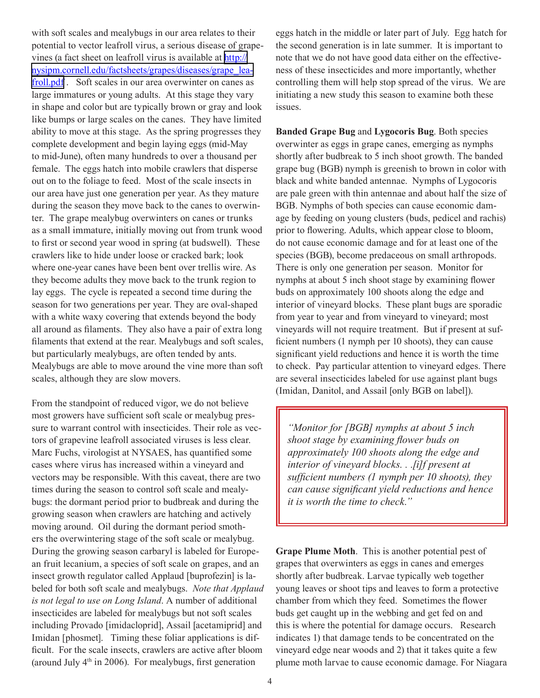with soft scales and mealybugs in our area relates to their potential to vector leafroll virus, a serious disease of grapevines (a fact sheet on leafroll virus is available at [http://](http://nysipm.cornell.edu/factsheets/grapes/diseases/grape_leafroll.pdf) [nysipm.cornell.edu/factsheets/grapes/diseases/grape\\_lea](http://nysipm.cornell.edu/factsheets/grapes/diseases/grape_leafroll.pdf)[froll.pdf](http://nysipm.cornell.edu/factsheets/grapes/diseases/grape_leafroll.pdf) . Soft scales in our area overwinter on canes as large immatures or young adults. At this stage they vary in shape and color but are typically brown or gray and look like bumps or large scales on the canes. They have limited ability to move at this stage. As the spring progresses they complete development and begin laying eggs (mid-May to mid-June), often many hundreds to over a thousand per female. The eggs hatch into mobile crawlers that disperse out on to the foliage to feed. Most of the scale insects in our area have just one generation per year. As they mature during the season they move back to the canes to overwinter. The grape mealybug overwinters on canes or trunks as a small immature, initially moving out from trunk wood to first or second year wood in spring (at budswell). These crawlers like to hide under loose or cracked bark; look where one-year canes have been bent over trellis wire. As they become adults they move back to the trunk region to lay eggs. The cycle is repeated a second time during the season for two generations per year. They are oval-shaped with a white waxy covering that extends beyond the body all around as filaments. They also have a pair of extra long filaments that extend at the rear. Mealybugs and soft scales, but particularly mealybugs, are often tended by ants. Mealybugs are able to move around the vine more than soft scales, although they are slow movers.

From the standpoint of reduced vigor, we do not believe most growers have sufficient soft scale or mealybug pressure to warrant control with insecticides. Their role as vectors of grapevine leafroll associated viruses is less clear. Marc Fuchs, virologist at NYSAES, has quantified some cases where virus has increased within a vineyard and vectors may be responsible. With this caveat, there are two times during the season to control soft scale and mealybugs: the dormant period prior to budbreak and during the growing season when crawlers are hatching and actively moving around. Oil during the dormant period smothers the overwintering stage of the soft scale or mealybug. During the growing season carbaryl is labeled for European fruit lecanium, a species of soft scale on grapes, and an insect growth regulator called Applaud [buprofezin] is labeled for both soft scale and mealybugs. *Note that Applaud is not legal to use on Long Island*. A number of additional insecticides are labeled for mealybugs but not soft scales including Provado [imidacloprid], Assail [acetamiprid] and Imidan [phosmet]. Timing these foliar applications is difficult. For the scale insects, crawlers are active after bloom (around July  $4<sup>th</sup>$  in 2006). For mealybugs, first generation

eggs hatch in the middle or later part of July. Egg hatch for the second generation is in late summer. It is important to note that we do not have good data either on the effectiveness of these insecticides and more importantly, whether controlling them will help stop spread of the virus. We are initiating a new study this season to examine both these issues.

**Banded Grape Bug** and **Lygocoris Bug**. Both species overwinter as eggs in grape canes, emerging as nymphs shortly after budbreak to 5 inch shoot growth. The banded grape bug (BGB) nymph is greenish to brown in color with black and white banded antennae. Nymphs of Lygocoris are pale green with thin antennae and about half the size of BGB. Nymphs of both species can cause economic damage by feeding on young clusters (buds, pedicel and rachis) prior to flowering. Adults, which appear close to bloom, do not cause economic damage and for at least one of the species (BGB), become predaceous on small arthropods. There is only one generation per season. Monitor for nymphs at about 5 inch shoot stage by examining flower buds on approximately 100 shoots along the edge and interior of vineyard blocks. These plant bugs are sporadic from year to year and from vineyard to vineyard; most vineyards will not require treatment. But if present at sufficient numbers (1 nymph per 10 shoots), they can cause significant yield reductions and hence it is worth the time to check. Pay particular attention to vineyard edges. There are several insecticides labeled for use against plant bugs (Imidan, Danitol, and Assail [only BGB on label]).

*"Monitor for [BGB] nymphs at about 5 inch shoot stage by examining flower buds on approximately 100 shoots along the edge and interior of vineyard blocks. . .[i]f present at sufficient numbers (1 nymph per 10 shoots), they can cause significant yield reductions and hence it is worth the time to check."*

**Grape Plume Moth**. This is another potential pest of grapes that overwinters as eggs in canes and emerges shortly after budbreak. Larvae typically web together young leaves or shoot tips and leaves to form a protective chamber from which they feed. Sometimes the flower buds get caught up in the webbing and get fed on and this is where the potential for damage occurs. Research indicates 1) that damage tends to be concentrated on the vineyard edge near woods and 2) that it takes quite a few plume moth larvae to cause economic damage. For Niagara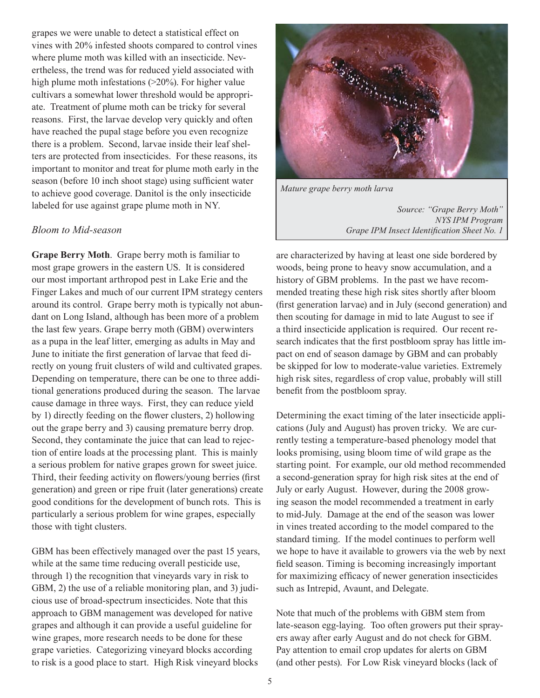grapes we were unable to detect a statistical effect on vines with 20% infested shoots compared to control vines where plume moth was killed with an insecticide. Nevertheless, the trend was for reduced yield associated with high plume moth infestations (>20%). For higher value cultivars a somewhat lower threshold would be appropriate. Treatment of plume moth can be tricky for several reasons. First, the larvae develop very quickly and often have reached the pupal stage before you even recognize there is a problem. Second, larvae inside their leaf shelters are protected from insecticides. For these reasons, its important to monitor and treat for plume moth early in the season (before 10 inch shoot stage) using sufficient water to achieve good coverage. Danitol is the only insecticide labeled for use against grape plume moth in NY.

## *Bloom to Mid-season*

**Grape Berry Moth**. Grape berry moth is familiar to most grape growers in the eastern US. It is considered our most important arthropod pest in Lake Erie and the Finger Lakes and much of our current IPM strategy centers around its control. Grape berry moth is typically not abundant on Long Island, although has been more of a problem the last few years. Grape berry moth (GBM) overwinters as a pupa in the leaf litter, emerging as adults in May and June to initiate the first generation of larvae that feed directly on young fruit clusters of wild and cultivated grapes. Depending on temperature, there can be one to three additional generations produced during the season. The larvae cause damage in three ways. First, they can reduce yield by 1) directly feeding on the flower clusters, 2) hollowing out the grape berry and 3) causing premature berry drop. Second, they contaminate the juice that can lead to rejection of entire loads at the processing plant. This is mainly a serious problem for native grapes grown for sweet juice. Third, their feeding activity on flowers/young berries (first generation) and green or ripe fruit (later generations) create good conditions for the development of bunch rots. This is particularly a serious problem for wine grapes, especially those with tight clusters.

GBM has been effectively managed over the past 15 years, while at the same time reducing overall pesticide use, through 1) the recognition that vineyards vary in risk to GBM, 2) the use of a reliable monitoring plan, and 3) judicious use of broad-spectrum insecticides. Note that this approach to GBM management was developed for native grapes and although it can provide a useful guideline for wine grapes, more research needs to be done for these grape varieties. Categorizing vineyard blocks according to risk is a good place to start. High Risk vineyard blocks



*Mature grape berry moth larva*

*Source: "Grape Berry Moth" NYS IPM Program Grape IPM Insect Identification Sheet No. 1*

are characterized by having at least one side bordered by woods, being prone to heavy snow accumulation, and a history of GBM problems. In the past we have recommended treating these high risk sites shortly after bloom (first generation larvae) and in July (second generation) and then scouting for damage in mid to late August to see if a third insecticide application is required. Our recent research indicates that the first postbloom spray has little impact on end of season damage by GBM and can probably be skipped for low to moderate-value varieties. Extremely high risk sites, regardless of crop value, probably will still benefit from the postbloom spray.

Determining the exact timing of the later insecticide applications (July and August) has proven tricky. We are currently testing a temperature-based phenology model that looks promising, using bloom time of wild grape as the starting point. For example, our old method recommended a second-generation spray for high risk sites at the end of July or early August. However, during the 2008 growing season the model recommended a treatment in early to mid-July. Damage at the end of the season was lower in vines treated according to the model compared to the standard timing. If the model continues to perform well we hope to have it available to growers via the web by next field season. Timing is becoming increasingly important for maximizing efficacy of newer generation insecticides such as Intrepid, Avaunt, and Delegate.

Note that much of the problems with GBM stem from late-season egg-laying. Too often growers put their sprayers away after early August and do not check for GBM. Pay attention to email crop updates for alerts on GBM (and other pests). For Low Risk vineyard blocks (lack of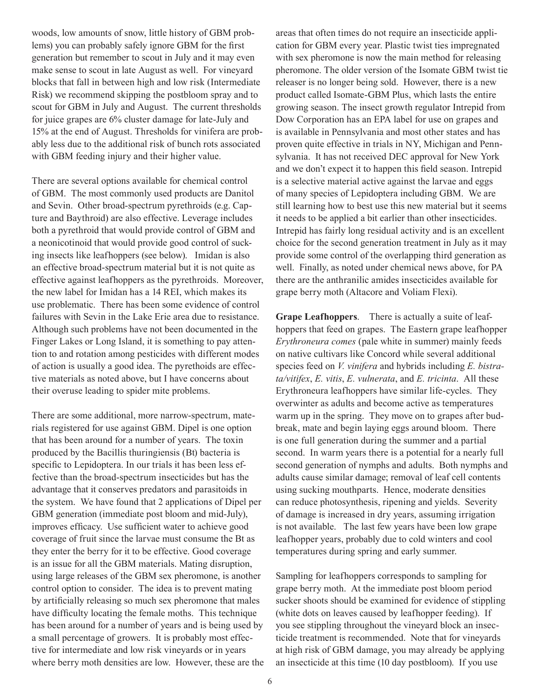woods, low amounts of snow, little history of GBM problems) you can probably safely ignore GBM for the first generation but remember to scout in July and it may even make sense to scout in late August as well. For vineyard blocks that fall in between high and low risk (Intermediate Risk) we recommend skipping the postbloom spray and to scout for GBM in July and August. The current thresholds for juice grapes are 6% cluster damage for late-July and 15% at the end of August. Thresholds for vinifera are probably less due to the additional risk of bunch rots associated with GBM feeding injury and their higher value.

There are several options available for chemical control of GBM. The most commonly used products are Danitol and Sevin. Other broad-spectrum pyrethroids (e.g. Capture and Baythroid) are also effective. Leverage includes both a pyrethroid that would provide control of GBM and a neonicotinoid that would provide good control of sucking insects like leafhoppers (see below). Imidan is also an effective broad-spectrum material but it is not quite as effective against leafhoppers as the pyrethroids. Moreover, the new label for Imidan has a 14 REI, which makes its use problematic. There has been some evidence of control failures with Sevin in the Lake Erie area due to resistance. Although such problems have not been documented in the Finger Lakes or Long Island, it is something to pay attention to and rotation among pesticides with different modes of action is usually a good idea. The pyrethoids are effective materials as noted above, but I have concerns about their overuse leading to spider mite problems.

There are some additional, more narrow-spectrum, materials registered for use against GBM. Dipel is one option that has been around for a number of years. The toxin produced by the Bacillis thuringiensis (Bt) bacteria is specific to Lepidoptera. In our trials it has been less effective than the broad-spectrum insecticides but has the advantage that it conserves predators and parasitoids in the system. We have found that 2 applications of Dipel per GBM generation (immediate post bloom and mid-July), improves efficacy. Use sufficient water to achieve good coverage of fruit since the larvae must consume the Bt as they enter the berry for it to be effective. Good coverage is an issue for all the GBM materials. Mating disruption, using large releases of the GBM sex pheromone, is another control option to consider. The idea is to prevent mating by artificially releasing so much sex pheromone that males have difficulty locating the female moths. This technique has been around for a number of years and is being used by a small percentage of growers. It is probably most effective for intermediate and low risk vineyards or in years where berry moth densities are low. However, these are the areas that often times do not require an insecticide application for GBM every year. Plastic twist ties impregnated with sex pheromone is now the main method for releasing pheromone. The older version of the Isomate GBM twist tie releaser is no longer being sold. However, there is a new product called Isomate-GBM Plus, which lasts the entire growing season. The insect growth regulator Intrepid from Dow Corporation has an EPA label for use on grapes and is available in Pennsylvania and most other states and has proven quite effective in trials in NY, Michigan and Pennsylvania. It has not received DEC approval for New York and we don't expect it to happen this field season. Intrepid is a selective material active against the larvae and eggs of many species of Lepidoptera including GBM. We are still learning how to best use this new material but it seems it needs to be applied a bit earlier than other insecticides. Intrepid has fairly long residual activity and is an excellent choice for the second generation treatment in July as it may provide some control of the overlapping third generation as well. Finally, as noted under chemical news above, for PA there are the anthranilic amides insecticides available for grape berry moth (Altacore and Voliam Flexi).

**Grape Leafhoppers**. There is actually a suite of leafhoppers that feed on grapes. The Eastern grape leafhopper *Erythroneura comes* (pale white in summer) mainly feeds on native cultivars like Concord while several additional species feed on *V. vinifera* and hybrids including *E. bistrata/vitifex*, *E. vitis*, *E. vulnerata*, and *E. tricinta*. All these Erythroneura leafhoppers have similar life-cycles. They overwinter as adults and become active as temperatures warm up in the spring. They move on to grapes after budbreak, mate and begin laying eggs around bloom. There is one full generation during the summer and a partial second. In warm years there is a potential for a nearly full second generation of nymphs and adults. Both nymphs and adults cause similar damage; removal of leaf cell contents using sucking mouthparts. Hence, moderate densities can reduce photosynthesis, ripening and yields. Severity of damage is increased in dry years, assuming irrigation is not available. The last few years have been low grape leafhopper years, probably due to cold winters and cool temperatures during spring and early summer.

Sampling for leafhoppers corresponds to sampling for grape berry moth. At the immediate post bloom period sucker shoots should be examined for evidence of stippling (white dots on leaves caused by leafhopper feeding). If you see stippling throughout the vineyard block an insecticide treatment is recommended. Note that for vineyards at high risk of GBM damage, you may already be applying an insecticide at this time (10 day postbloom). If you use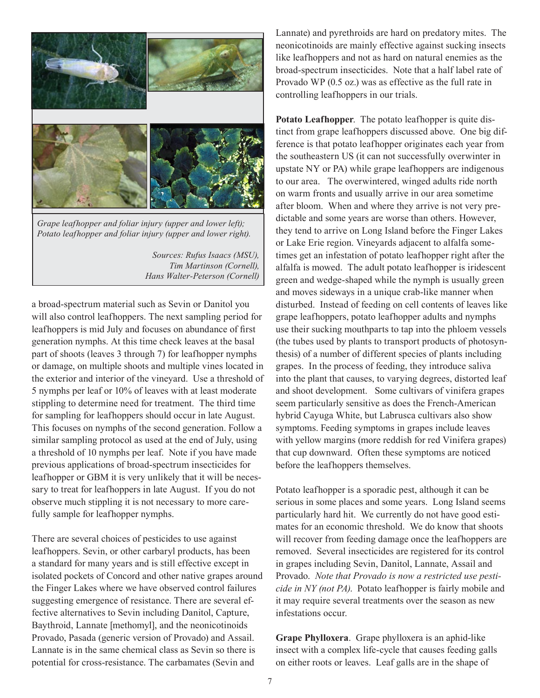

*Grape leafhopper and foliar injury (upper and lower left); Potato leafhopper and foliar injury (upper and lower right).*

*Sources: Rufus Isaacs (MSU), Tim Martinson (Cornell), Hans Walter-Peterson (Cornell)* 

a broad-spectrum material such as Sevin or Danitol you will also control leafhoppers. The next sampling period for leafhoppers is mid July and focuses on abundance of first generation nymphs. At this time check leaves at the basal part of shoots (leaves 3 through 7) for leafhopper nymphs or damage, on multiple shoots and multiple vines located in the exterior and interior of the vineyard. Use a threshold of 5 nymphs per leaf or 10% of leaves with at least moderate stippling to determine need for treatment. The third time for sampling for leafhoppers should occur in late August. This focuses on nymphs of the second generation. Follow a similar sampling protocol as used at the end of July, using a threshold of 10 nymphs per leaf. Note if you have made previous applications of broad-spectrum insecticides for leafhopper or GBM it is very unlikely that it will be necessary to treat for leafhoppers in late August. If you do not observe much stippling it is not necessary to more carefully sample for leafhopper nymphs.

There are several choices of pesticides to use against leafhoppers. Sevin, or other carbaryl products, has been a standard for many years and is still effective except in isolated pockets of Concord and other native grapes around the Finger Lakes where we have observed control failures suggesting emergence of resistance. There are several effective alternatives to Sevin including Danitol, Capture, Baythroid, Lannate [methomyl], and the neonicotinoids Provado, Pasada (generic version of Provado) and Assail. Lannate is in the same chemical class as Sevin so there is potential for cross-resistance. The carbamates (Sevin and

Lannate) and pyrethroids are hard on predatory mites. The neonicotinoids are mainly effective against sucking insects like leafhoppers and not as hard on natural enemies as the broad-spectrum insecticides. Note that a half label rate of Provado WP (0.5 oz.) was as effective as the full rate in controlling leafhoppers in our trials.

**Potato Leafhopper**. The potato leafhopper is quite distinct from grape leafhoppers discussed above. One big difference is that potato leafhopper originates each year from the southeastern US (it can not successfully overwinter in upstate NY or PA) while grape leafhoppers are indigenous to our area. The overwintered, winged adults ride north on warm fronts and usually arrive in our area sometime after bloom. When and where they arrive is not very predictable and some years are worse than others. However, they tend to arrive on Long Island before the Finger Lakes or Lake Erie region. Vineyards adjacent to alfalfa sometimes get an infestation of potato leafhopper right after the alfalfa is mowed. The adult potato leafhopper is iridescent green and wedge-shaped while the nymph is usually green and moves sideways in a unique crab-like manner when disturbed. Instead of feeding on cell contents of leaves like grape leafhoppers, potato leafhopper adults and nymphs use their sucking mouthparts to tap into the phloem vessels (the tubes used by plants to transport products of photosynthesis) of a number of different species of plants including grapes. In the process of feeding, they introduce saliva into the plant that causes, to varying degrees, distorted leaf and shoot development. Some cultivars of vinifera grapes seem particularly sensitive as does the French-American hybrid Cayuga White, but Labrusca cultivars also show symptoms. Feeding symptoms in grapes include leaves with yellow margins (more reddish for red Vinifera grapes) that cup downward. Often these symptoms are noticed before the leafhoppers themselves.

Potato leafhopper is a sporadic pest, although it can be serious in some places and some years. Long Island seems particularly hard hit. We currently do not have good estimates for an economic threshold. We do know that shoots will recover from feeding damage once the leafhoppers are removed. Several insecticides are registered for its control in grapes including Sevin, Danitol, Lannate, Assail and Provado. *Note that Provado is now a restricted use pesticide in NY (not PA)*. Potato leafhopper is fairly mobile and it may require several treatments over the season as new infestations occur.

**Grape Phylloxera**. Grape phylloxera is an aphid-like insect with a complex life-cycle that causes feeding galls on either roots or leaves. Leaf galls are in the shape of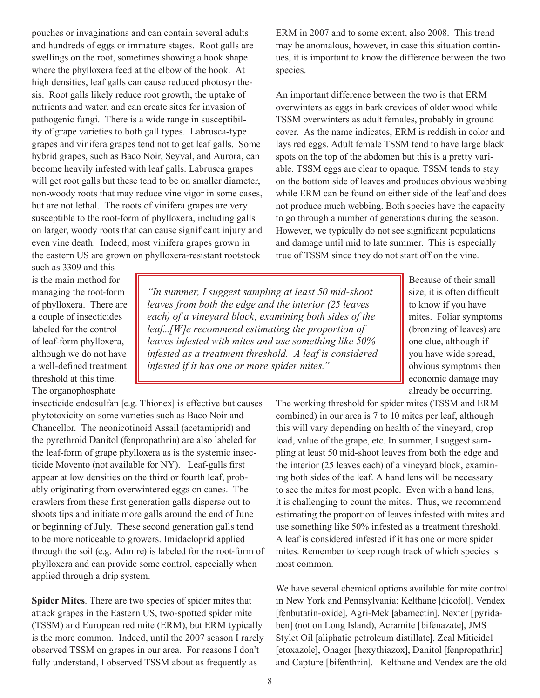pouches or invaginations and can contain several adults and hundreds of eggs or immature stages. Root galls are swellings on the root, sometimes showing a hook shape where the phylloxera feed at the elbow of the hook. At high densities, leaf galls can cause reduced photosynthesis. Root galls likely reduce root growth, the uptake of nutrients and water, and can create sites for invasion of pathogenic fungi. There is a wide range in susceptibility of grape varieties to both gall types. Labrusca-type grapes and vinifera grapes tend not to get leaf galls. Some hybrid grapes, such as Baco Noir, Seyval, and Aurora, can become heavily infested with leaf galls. Labrusca grapes will get root galls but these tend to be on smaller diameter, non-woody roots that may reduce vine vigor in some cases, but are not lethal. The roots of vinifera grapes are very susceptible to the root-form of phylloxera, including galls on larger, woody roots that can cause significant injury and even vine death. Indeed, most vinifera grapes grown in the eastern US are grown on phylloxera-resistant rootstock

such as 3309 and this is the main method for managing the root-form of phylloxera. There are a couple of insecticides labeled for the control of leaf-form phylloxera, although we do not have a well-defined treatment threshold at this time. The organophosphate

*"In summer, I suggest sampling at least 50 mid-shoot leaves from both the edge and the interior (25 leaves each) of a vineyard block, examining both sides of the leaf...[W]e recommend estimating the proportion of leaves infested with mites and use something like 50% infested as a treatment threshold. A leaf is considered infested if it has one or more spider mites."*

insecticide endosulfan [e.g. Thionex] is effective but causes phytotoxicity on some varieties such as Baco Noir and Chancellor. The neonicotinoid Assail (acetamiprid) and the pyrethroid Danitol (fenpropathrin) are also labeled for the leaf-form of grape phylloxera as is the systemic insecticide Movento (not available for NY). Leaf-galls first appear at low densities on the third or fourth leaf, probably originating from overwintered eggs on canes. The crawlers from these first generation galls disperse out to shoots tips and initiate more galls around the end of June or beginning of July. These second generation galls tend to be more noticeable to growers. Imidacloprid applied through the soil (e.g. Admire) is labeled for the root-form of phylloxera and can provide some control, especially when applied through a drip system.

**Spider Mites**. There are two species of spider mites that attack grapes in the Eastern US, two-spotted spider mite (TSSM) and European red mite (ERM), but ERM typically is the more common. Indeed, until the 2007 season I rarely observed TSSM on grapes in our area. For reasons I don't fully understand, I observed TSSM about as frequently as

ERM in 2007 and to some extent, also 2008. This trend may be anomalous, however, in case this situation continues, it is important to know the difference between the two species.

An important difference between the two is that ERM overwinters as eggs in bark crevices of older wood while TSSM overwinters as adult females, probably in ground cover. As the name indicates, ERM is reddish in color and lays red eggs. Adult female TSSM tend to have large black spots on the top of the abdomen but this is a pretty variable. TSSM eggs are clear to opaque. TSSM tends to stay on the bottom side of leaves and produces obvious webbing while ERM can be found on either side of the leaf and does not produce much webbing. Both species have the capacity to go through a number of generations during the season. However, we typically do not see significant populations and damage until mid to late summer. This is especially true of TSSM since they do not start off on the vine.

> Because of their small size, it is often difficult to know if you have mites. Foliar symptoms (bronzing of leaves) are one clue, although if you have wide spread, obvious symptoms then economic damage may already be occurring.

The working threshold for spider mites (TSSM and ERM combined) in our area is 7 to 10 mites per leaf, although this will vary depending on health of the vineyard, crop load, value of the grape, etc. In summer, I suggest sampling at least 50 mid-shoot leaves from both the edge and the interior (25 leaves each) of a vineyard block, examining both sides of the leaf. A hand lens will be necessary to see the mites for most people. Even with a hand lens, it is challenging to count the mites. Thus, we recommend estimating the proportion of leaves infested with mites and use something like 50% infested as a treatment threshold. A leaf is considered infested if it has one or more spider mites. Remember to keep rough track of which species is most common.

We have several chemical options available for mite control in New York and Pennsylvania: Kelthane [dicofol], Vendex [fenbutatin-oxide], Agri-Mek [abamectin], Nexter [pyridaben] (not on Long Island), Acramite [bifenazate], JMS Stylet Oil [aliphatic petroleum distillate], Zeal Miticide1 [etoxazole], Onager [hexythiazox], Danitol [fenpropathrin] and Capture [bifenthrin]. Kelthane and Vendex are the old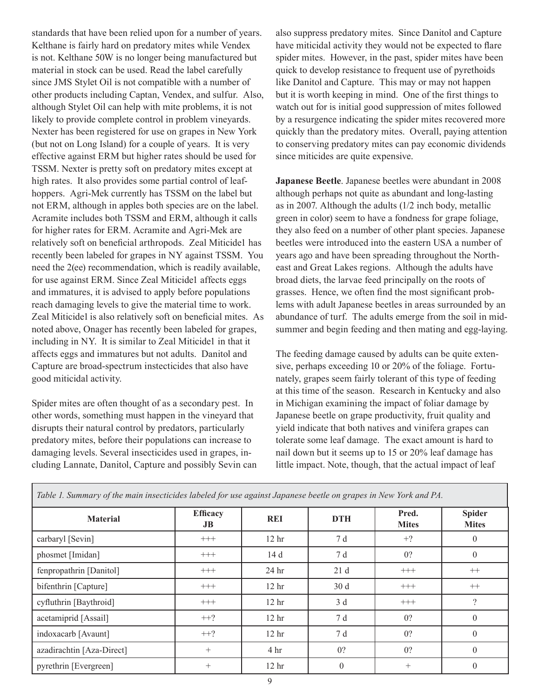standards that have been relied upon for a number of years. Kelthane is fairly hard on predatory mites while Vendex is not. Kelthane 50W is no longer being manufactured but material in stock can be used. Read the label carefully since JMS Stylet Oil is not compatible with a number of other products including Captan, Vendex, and sulfur. Also, although Stylet Oil can help with mite problems, it is not likely to provide complete control in problem vineyards. Nexter has been registered for use on grapes in New York (but not on Long Island) for a couple of years. It is very effective against ERM but higher rates should be used for TSSM. Nexter is pretty soft on predatory mites except at high rates. It also provides some partial control of leafhoppers. Agri-Mek currently has TSSM on the label but not ERM, although in apples both species are on the label. Acramite includes both TSSM and ERM, although it calls for higher rates for ERM. Acramite and Agri-Mek are relatively soft on beneficial arthropods. Zeal Miticide1 has recently been labeled for grapes in NY against TSSM. You need the 2(ee) recommendation, which is readily available, for use against ERM. Since Zeal Miticide1 affects eggs and immatures, it is advised to apply before populations reach damaging levels to give the material time to work. Zeal Miticide1 is also relatively soft on beneficial mites. As noted above, Onager has recently been labeled for grapes, including in NY. It is similar to Zeal Miticide1 in that it affects eggs and immatures but not adults. Danitol and Capture are broad-spectrum instecticides that also have good miticidal activity.

Spider mites are often thought of as a secondary pest. In other words, something must happen in the vineyard that disrupts their natural control by predators, particularly predatory mites, before their populations can increase to damaging levels. Several insecticides used in grapes, including Lannate, Danitol, Capture and possibly Sevin can also suppress predatory mites. Since Danitol and Capture have miticidal activity they would not be expected to flare spider mites. However, in the past, spider mites have been quick to develop resistance to frequent use of pyrethoids like Danitol and Capture. This may or may not happen but it is worth keeping in mind. One of the first things to watch out for is initial good suppression of mites followed by a resurgence indicating the spider mites recovered more quickly than the predatory mites. Overall, paying attention to conserving predatory mites can pay economic dividends since miticides are quite expensive.

**Japanese Beetle**. Japanese beetles were abundant in 2008 although perhaps not quite as abundant and long-lasting as in 2007. Although the adults (1/2 inch body, metallic green in color) seem to have a fondness for grape foliage, they also feed on a number of other plant species. Japanese beetles were introduced into the eastern USA a number of years ago and have been spreading throughout the Northeast and Great Lakes regions. Although the adults have broad diets, the larvae feed principally on the roots of grasses. Hence, we often find the most significant problems with adult Japanese beetles in areas surrounded by an abundance of turf. The adults emerge from the soil in midsummer and begin feeding and then mating and egg-laying.

The feeding damage caused by adults can be quite extensive, perhaps exceeding 10 or 20% of the foliage. Fortunately, grapes seem fairly tolerant of this type of feeding at this time of the season. Research in Kentucky and also in Michigan examining the impact of foliar damage by Japanese beetle on grape productivity, fruit quality and yield indicate that both natives and vinifera grapes can tolerate some leaf damage. The exact amount is hard to nail down but it seems up to 15 or 20% leaf damage has little impact. Note, though, that the actual impact of leaf

| $\checkmark$ $\checkmark$ |                       |                  | $\cup$ 1       |                       |                               |
|---------------------------|-----------------------|------------------|----------------|-----------------------|-------------------------------|
| <b>Material</b>           | <b>Efficacy</b><br>JB | <b>REI</b>       | <b>DTH</b>     | Pred.<br><b>Mites</b> | <b>Spider</b><br><b>Mites</b> |
| carbaryl [Sevin]          | $^{+++}$              | 12 <sup>hr</sup> | 7 d            | $+2$                  | $\theta$                      |
| phosmet [Imidan]          | $^{+++}$              | 14 d             | 7 d            | 0?                    | $\overline{0}$                |
| fenpropathrin [Danitol]   | $^{+++}$              | 24 <sub>hr</sub> | 21d            | $^{+++}$              | $^{++}$                       |
| bifenthrin [Capture]      | $^{+++}$              | 12 <sub>hr</sub> | 30d            | $^{+++}$              | $^{++}$                       |
| cyfluthrin [Baythroid]    | $^{+++}$              | 12 <sub>hr</sub> | 3d             | $^{+++}$              | $\overline{\mathcal{L}}$      |
| acetamiprid [Assail]      | $++?$                 | 12 <sub>hr</sub> | 7 d            | 0?                    | $\overline{0}$                |
| indoxacarb [Avaunt]       | $++?$                 | 12 <sub>hr</sub> | 7 d            | 0?                    | $\theta$                      |
| azadirachtin [Aza-Direct] | $+$                   | 4 <sup>hr</sup>  | 0?             | 0?                    | $\theta$                      |
| pyrethrin [Evergreen]     | $+$                   | 12 <sup>hr</sup> | $\overline{0}$ | $^{+}$                | $\theta$                      |

*Table 1. Summary of the main insecticides labeled for use against Japanese beetle on grapes in New York and PA.*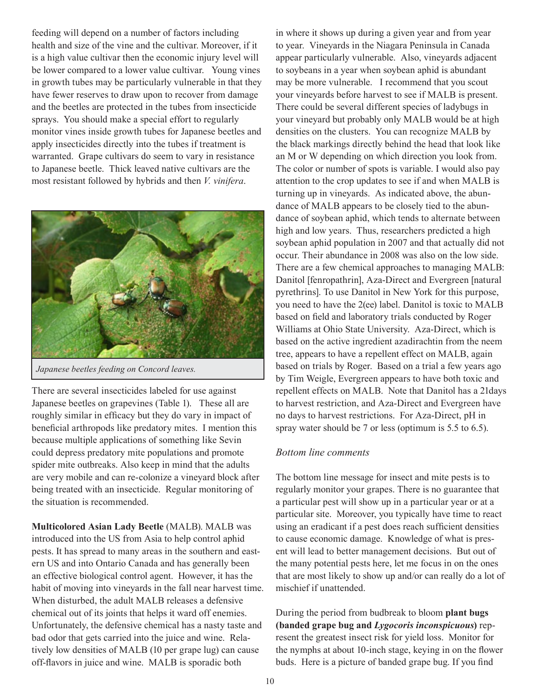feeding will depend on a number of factors including health and size of the vine and the cultivar. Moreover, if it is a high value cultivar then the economic injury level will be lower compared to a lower value cultivar. Young vines in growth tubes may be particularly vulnerable in that they have fewer reserves to draw upon to recover from damage and the beetles are protected in the tubes from insecticide sprays. You should make a special effort to regularly monitor vines inside growth tubes for Japanese beetles and apply insecticides directly into the tubes if treatment is warranted. Grape cultivars do seem to vary in resistance to Japanese beetle. Thick leaved native cultivars are the most resistant followed by hybrids and then *V. vinifera*.



*Japanese beetles feeding on Concord leaves.*

There are several insecticides labeled for use against Japanese beetles on grapevines (Table 1). These all are roughly similar in efficacy but they do vary in impact of beneficial arthropods like predatory mites. I mention this because multiple applications of something like Sevin could depress predatory mite populations and promote spider mite outbreaks. Also keep in mind that the adults are very mobile and can re-colonize a vineyard block after being treated with an insecticide. Regular monitoring of the situation is recommended.

**Multicolored Asian Lady Beetle** (MALB). MALB was introduced into the US from Asia to help control aphid pests. It has spread to many areas in the southern and eastern US and into Ontario Canada and has generally been an effective biological control agent. However, it has the habit of moving into vineyards in the fall near harvest time. When disturbed, the adult MALB releases a defensive chemical out of its joints that helps it ward off enemies. Unfortunately, the defensive chemical has a nasty taste and bad odor that gets carried into the juice and wine. Relatively low densities of MALB (10 per grape lug) can cause off-flavors in juice and wine. MALB is sporadic both

in where it shows up during a given year and from year to year. Vineyards in the Niagara Peninsula in Canada appear particularly vulnerable. Also, vineyards adjacent to soybeans in a year when soybean aphid is abundant may be more vulnerable. I recommend that you scout your vineyards before harvest to see if MALB is present. There could be several different species of ladybugs in your vineyard but probably only MALB would be at high densities on the clusters. You can recognize MALB by the black markings directly behind the head that look like an M or W depending on which direction you look from. The color or number of spots is variable. I would also pay attention to the crop updates to see if and when MALB is turning up in vineyards. As indicated above, the abundance of MALB appears to be closely tied to the abundance of soybean aphid, which tends to alternate between high and low years. Thus, researchers predicted a high soybean aphid population in 2007 and that actually did not occur. Their abundance in 2008 was also on the low side. There are a few chemical approaches to managing MALB: Danitol [fenropathrin], Aza-Direct and Evergreen [natural pyrethrins]. To use Danitol in New York for this purpose, you need to have the 2(ee) label. Danitol is toxic to MALB based on field and laboratory trials conducted by Roger Williams at Ohio State University. Aza-Direct, which is based on the active ingredient azadirachtin from the neem tree, appears to have a repellent effect on MALB, again based on trials by Roger. Based on a trial a few years ago by Tim Weigle, Evergreen appears to have both toxic and repellent effects on MALB. Note that Danitol has a 21days to harvest restriction, and Aza-Direct and Evergreen have no days to harvest restrictions. For Aza-Direct, pH in spray water should be 7 or less (optimum is 5.5 to 6.5).

## *Bottom line comments*

The bottom line message for insect and mite pests is to regularly monitor your grapes. There is no guarantee that a particular pest will show up in a particular year or at a particular site. Moreover, you typically have time to react using an eradicant if a pest does reach sufficient densities to cause economic damage. Knowledge of what is present will lead to better management decisions. But out of the many potential pests here, let me focus in on the ones that are most likely to show up and/or can really do a lot of mischief if unattended.

During the period from budbreak to bloom **plant bugs (banded grape bug and** *Lygocoris inconspicuous***)** represent the greatest insect risk for yield loss. Monitor for the nymphs at about 10-inch stage, keying in on the flower buds. Here is a picture of banded grape bug. If you find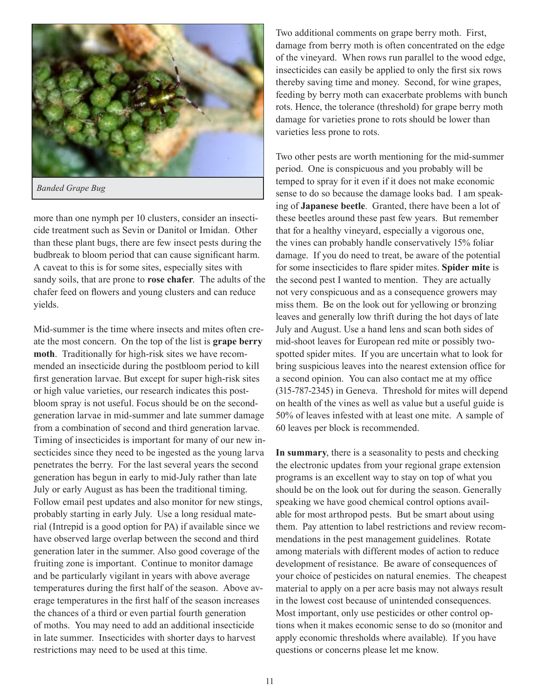

more than one nymph per 10 clusters, consider an insecticide treatment such as Sevin or Danitol or Imidan. Other than these plant bugs, there are few insect pests during the budbreak to bloom period that can cause significant harm. A caveat to this is for some sites, especially sites with sandy soils, that are prone to **rose chafer**. The adults of the chafer feed on flowers and young clusters and can reduce yields.

Mid-summer is the time where insects and mites often create the most concern. On the top of the list is **grape berry moth**. Traditionally for high-risk sites we have recommended an insecticide during the postbloom period to kill first generation larvae. But except for super high-risk sites or high value varieties, our research indicates this postbloom spray is not useful. Focus should be on the secondgeneration larvae in mid-summer and late summer damage from a combination of second and third generation larvae. Timing of insecticides is important for many of our new insecticides since they need to be ingested as the young larva penetrates the berry. For the last several years the second generation has begun in early to mid-July rather than late July or early August as has been the traditional timing. Follow email pest updates and also monitor for new stings, probably starting in early July. Use a long residual material (Intrepid is a good option for PA) if available since we have observed large overlap between the second and third generation later in the summer. Also good coverage of the fruiting zone is important. Continue to monitor damage and be particularly vigilant in years with above average temperatures during the first half of the season. Above average temperatures in the first half of the season increases the chances of a third or even partial fourth generation of moths. You may need to add an additional insecticide in late summer. Insecticides with shorter days to harvest restrictions may need to be used at this time.

Two additional comments on grape berry moth. First, damage from berry moth is often concentrated on the edge of the vineyard. When rows run parallel to the wood edge, insecticides can easily be applied to only the first six rows thereby saving time and money. Second, for wine grapes, feeding by berry moth can exacerbate problems with bunch rots. Hence, the tolerance (threshold) for grape berry moth damage for varieties prone to rots should be lower than varieties less prone to rots.

Two other pests are worth mentioning for the mid-summer period. One is conspicuous and you probably will be temped to spray for it even if it does not make economic sense to do so because the damage looks bad. I am speaking of **Japanese beetle**. Granted, there have been a lot of these beetles around these past few years. But remember that for a healthy vineyard, especially a vigorous one, the vines can probably handle conservatively 15% foliar damage. If you do need to treat, be aware of the potential for some insecticides to flare spider mites. **Spider mite** is the second pest I wanted to mention. They are actually not very conspicuous and as a consequence growers may miss them. Be on the look out for yellowing or bronzing leaves and generally low thrift during the hot days of late July and August. Use a hand lens and scan both sides of mid-shoot leaves for European red mite or possibly twospotted spider mites. If you are uncertain what to look for bring suspicious leaves into the nearest extension office for a second opinion. You can also contact me at my office (315-787-2345) in Geneva. Threshold for mites will depend on health of the vines as well as value but a useful guide is 50% of leaves infested with at least one mite. A sample of 60 leaves per block is recommended.

**In summary**, there is a seasonality to pests and checking the electronic updates from your regional grape extension programs is an excellent way to stay on top of what you should be on the look out for during the season. Generally speaking we have good chemical control options available for most arthropod pests. But be smart about using them. Pay attention to label restrictions and review recommendations in the pest management guidelines. Rotate among materials with different modes of action to reduce development of resistance. Be aware of consequences of your choice of pesticides on natural enemies. The cheapest material to apply on a per acre basis may not always result in the lowest cost because of unintended consequences. Most important, only use pesticides or other control options when it makes economic sense to do so (monitor and apply economic thresholds where available). If you have questions or concerns please let me know.